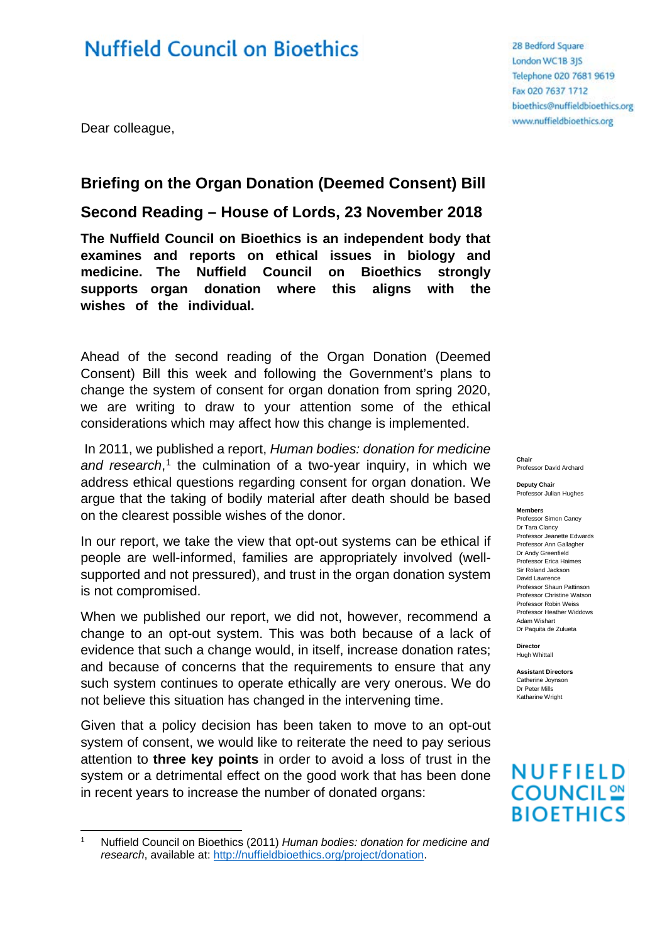# **Nuffield Council on Bioethics**

Dear colleague,

### **Briefing on the Organ Donation (Deemed Consent) Bill**

**Second Reading – House of Lords, 23 November 2018**

**The Nuffield Council on Bioethics is an independent body that examines and reports on ethical issues in biology and medicine. The Nuffield Council on Bioethics strongly supports organ donation where this aligns with the wishes of the individual.** 

Ahead of the second reading of the Organ Donation (Deemed Consent) Bill this week and following the Government's plans to change the system of consent for organ donation from spring 2020, we are writing to draw to your attention some of the ethical considerations which may affect how this change is implemented.

In 2011, we published a report, *Human bodies: donation for medicine*  and research,<sup>[1](#page-0-0)</sup> the culmination of a two-year inquiry, in which we address ethical questions regarding consent for organ donation. We argue that the taking of bodily material after death should be based on the clearest possible wishes of the donor.

In our report, we take the view that opt-out systems can be ethical if people are well-informed, families are appropriately involved (wellsupported and not pressured), and trust in the organ donation system is not compromised.

When we published our report, we did not, however, recommend a change to an opt-out system. This was both because of a lack of evidence that such a change would, in itself, increase donation rates; and because of concerns that the requirements to ensure that any such system continues to operate ethically are very onerous. We do not believe this situation has changed in the intervening time.

Given that a policy decision has been taken to move to an opt-out system of consent, we would like to reiterate the need to pay serious attention to **three key points** in order to avoid a loss of trust in the system or a detrimental effect on the good work that has been done in recent years to increase the number of donated organs:

28 Bedford Square London WC1B 3JS Telephone 020 7681 9619 Fax 020 7637 1712 bioethics@nuffieldbioethics.org www.nuffieldbioethics.org

#### **Chair** Professor David Archard

**Deputy Chair** Professor Julian Hughes

**Members**

Professor Simon Caney Dr Tara Clancy Professor Jeanette Edwards Professor Ann Gallagher Dr Andy Greenfield Professor Erica Haimes Sir Roland Jackson David Lawrence Professor Shaun Pattinson Professor Christine Watson Professor Robin Weiss Professor Heather Widdows Adam Wishart Dr Paquita de Zulueta

**Director** Hugh Whittall

**Assistant Directors** Catherine Joynson Dr Peter Mills Katharine Wright

## **NUFFIELD COUNCIL<sup>20</sup> BIOETHICS**

<span id="page-0-0"></span><sup>1</sup> Nuffield Council on Bioethics (2011) *Human bodies: donation for medicine and research*, available at: [http://nuffieldbioethics.org/project/donation.](http://nuffieldbioethics.org/project/donation)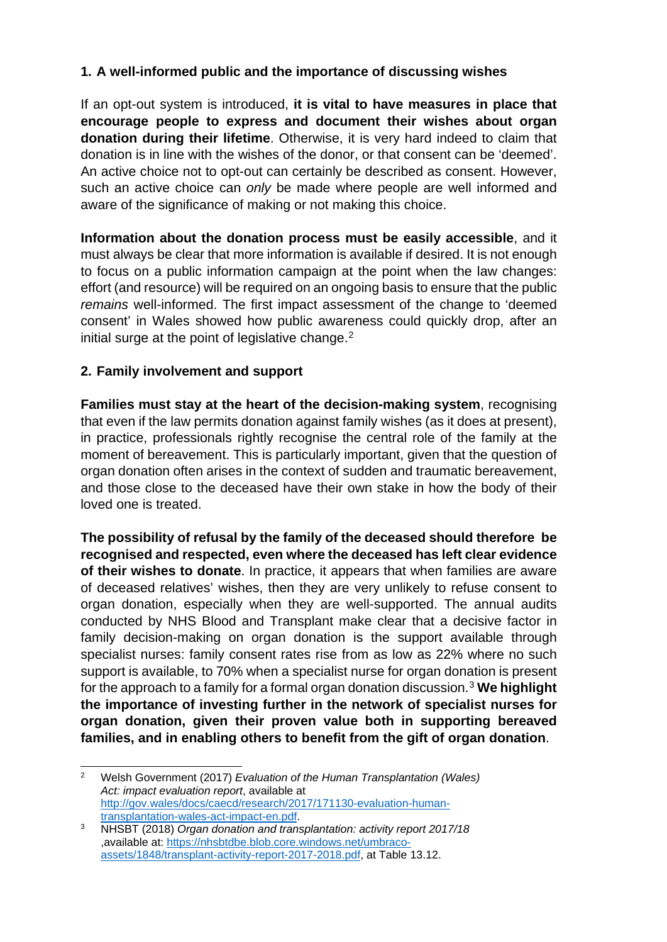### **1. A well-informed public and the importance of discussing wishes**

If an opt-out system is introduced, **it is vital to have measures in place that encourage people to express and document their wishes about organ donation during their lifetime**. Otherwise, it is very hard indeed to claim that donation is in line with the wishes of the donor, or that consent can be 'deemed'. An active choice not to opt-out can certainly be described as consent. However, such an active choice can *only* be made where people are well informed and aware of the significance of making or not making this choice.

**Information about the donation process must be easily accessible**, and it must always be clear that more information is available if desired. It is not enough to focus on a public information campaign at the point when the law changes: effort (and resource) will be required on an ongoing basis to ensure that the public *remains* well-informed. The first impact assessment of the change to 'deemed consent' in Wales showed how public awareness could quickly drop, after an initial surge at the point of legislative change.<sup>[2](#page-1-0)</sup>

### **2. Family involvement and support**

**Families must stay at the heart of the decision-making system**, recognising that even if the law permits donation against family wishes (as it does at present), in practice, professionals rightly recognise the central role of the family at the moment of bereavement. This is particularly important, given that the question of organ donation often arises in the context of sudden and traumatic bereavement, and those close to the deceased have their own stake in how the body of their loved one is treated.

**The possibility of refusal by the family of the deceased should therefore be recognised and respected, even where the deceased has left clear evidence of their wishes to donate**. In practice, it appears that when families are aware of deceased relatives' wishes, then they are very unlikely to refuse consent to organ donation, especially when they are well-supported. The annual audits conducted by NHS Blood and Transplant make clear that a decisive factor in family decision-making on organ donation is the support available through specialist nurses: family consent rates rise from as low as 22% where no such support is available, to 70% when a specialist nurse for organ donation is present for the approach to a family for a formal organ donation discussion. [3](#page-1-1) **We highlight the importance of investing further in the network of specialist nurses for organ donation, given their proven value both in supporting bereaved families, and in enabling others to benefit from the gift of organ donation**.

<span id="page-1-0"></span> <sup>2</sup> Welsh Government (2017) *Evaluation of the Human Transplantation (Wales) Act: impact evaluation report*, available at [http://gov.wales/docs/caecd/research/2017/171130-evaluation-human](http://gov.wales/docs/caecd/research/2017/171130-evaluation-human-transplantation-wales-act-impact-en.pdf)[transplantation-wales-act-impact-en.pdf.](http://gov.wales/docs/caecd/research/2017/171130-evaluation-human-transplantation-wales-act-impact-en.pdf)

<span id="page-1-1"></span><sup>3</sup> NHSBT (2018) *Organ donation and transplantation: activity report 2017/18* ,available at: [https://nhsbtdbe.blob.core.windows.net/umbraco](https://nhsbtdbe.blob.core.windows.net/umbraco-assets/1848/transplant-activity-report-2017-2018.pdf)[assets/1848/transplant-activity-report-2017-2018.pdf,](https://nhsbtdbe.blob.core.windows.net/umbraco-assets/1848/transplant-activity-report-2017-2018.pdf) at Table 13.12.